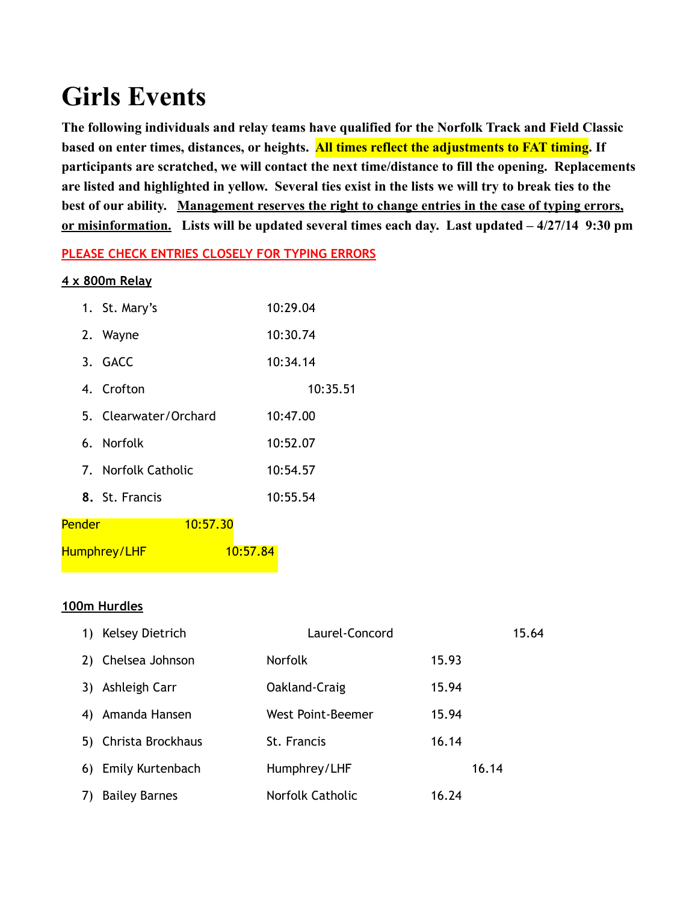# **Girls Events**

**The following individuals and relay teams have qualified for the Norfolk Track and Field Classic based on enter times, distances, or heights. All times reflect the adjustments to FAT timing. If participants are scratched, we will contact the next time/distance to fill the opening. Replacements are listed and highlighted in yellow. Several ties exist in the lists we will try to break ties to the best of our ability. Management reserves the right to change entries in the case of typing errors, or misinformation. Lists will be updated several times each day. Last updated – 4/27/14 9:30 pm**

#### **PLEASE CHECK ENTRIES CLOSELY FOR TYPING ERRORS**

#### **4 x 800m Relay**

|        | 1. St. Mary's         | 10:29.04 |
|--------|-----------------------|----------|
|        | 2. Wayne              | 10:30.74 |
|        | 3. GACC               | 10:34.14 |
|        | 4. Crofton            | 10:35.51 |
|        | 5. Clearwater/Orchard | 10:47.00 |
|        | 6. Norfolk            | 10:52.07 |
|        | 7. Norfolk Catholic   | 10:54.57 |
|        | 8. St. Francis        | 10:55.54 |
| Pender | 10:57.30              |          |
|        | Humphrey/LHF          | 10:57.84 |

#### **100m Hurdles**

| 1) | Kelsey Dietrich      | Laurel-Concord    |       | 15.64 |
|----|----------------------|-------------------|-------|-------|
| 2) | Chelsea Johnson      | <b>Norfolk</b>    | 15.93 |       |
| 3) | Ashleigh Carr        | Oakland-Craig     | 15.94 |       |
| 4) | Amanda Hansen        | West Point-Beemer | 15.94 |       |
|    | 5) Christa Brockhaus | St. Francis       | 16.14 |       |
|    | 6) Emily Kurtenbach  | Humphrey/LHF      | 16.14 |       |
| 7) | <b>Bailey Barnes</b> | Norfolk Catholic  | 16.24 |       |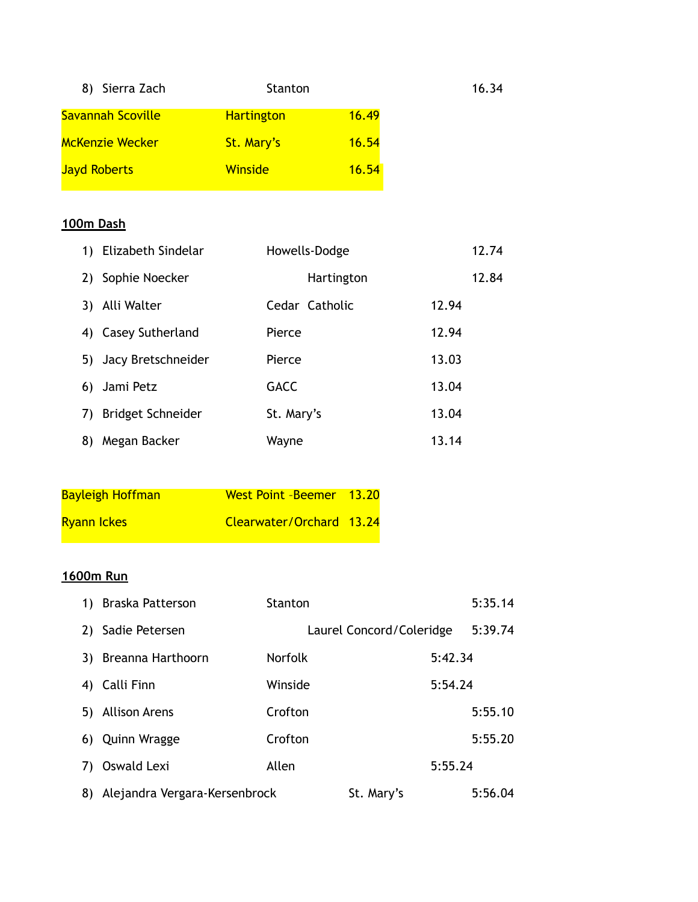| 8) Sierra Zach         | Stanton           |       | 16.34 |
|------------------------|-------------------|-------|-------|
| Savannah Scoville      | <b>Hartington</b> | 16.49 |       |
| <b>McKenzie Wecker</b> | St. Mary's        | 16.54 |       |
| <b>Jayd Roberts</b>    | <b>Winside</b>    | 16.54 |       |

#### **100m Dash**

|    | 1) Elizabeth Sindelar | Howells-Dodge  | 12.74 |
|----|-----------------------|----------------|-------|
| 2) | Sophie Noecker        | Hartington     | 12.84 |
| 3) | Alli Walter           | Cedar Catholic | 12.94 |
|    | 4) Casey Sutherland   | Pierce         | 12.94 |
|    | 5) Jacy Bretschneider | Pierce         | 13.03 |
| 6) | Jami Petz             | <b>GACC</b>    | 13.04 |
| 7) | Bridget Schneider     | St. Mary's     | 13.04 |
| 8) | Megan Backer          | Wayne          | 13.14 |

| <b>Bayleigh Hoffman</b> | West Point - Beemer 13.20 |  |
|-------------------------|---------------------------|--|
| <b>Ryann Ickes</b>      | Clearwater/Orchard 13.24  |  |

# **1600m Run**

| 1) | Braska Patterson              | <b>Stanton</b> |                          |         | 5:35.14 |
|----|-------------------------------|----------------|--------------------------|---------|---------|
| 2) | Sadie Petersen                |                | Laurel Concord/Coleridge |         | 5:39.74 |
| 3) | Breanna Harthoorn             | <b>Norfolk</b> |                          | 5:42.34 |         |
| 4) | Calli Finn                    | Winside        |                          | 5:54.24 |         |
| 5) | <b>Allison Arens</b>          | Crofton        |                          |         | 5:55.10 |
| 6) | <b>Quinn Wragge</b>           | Crofton        |                          |         | 5:55.20 |
| 7) | Oswald Lexi                   | Allen          |                          | 5:55.24 |         |
| 8) | Alejandra Vergara-Kersenbrock |                | St. Mary's               |         | 5:56.04 |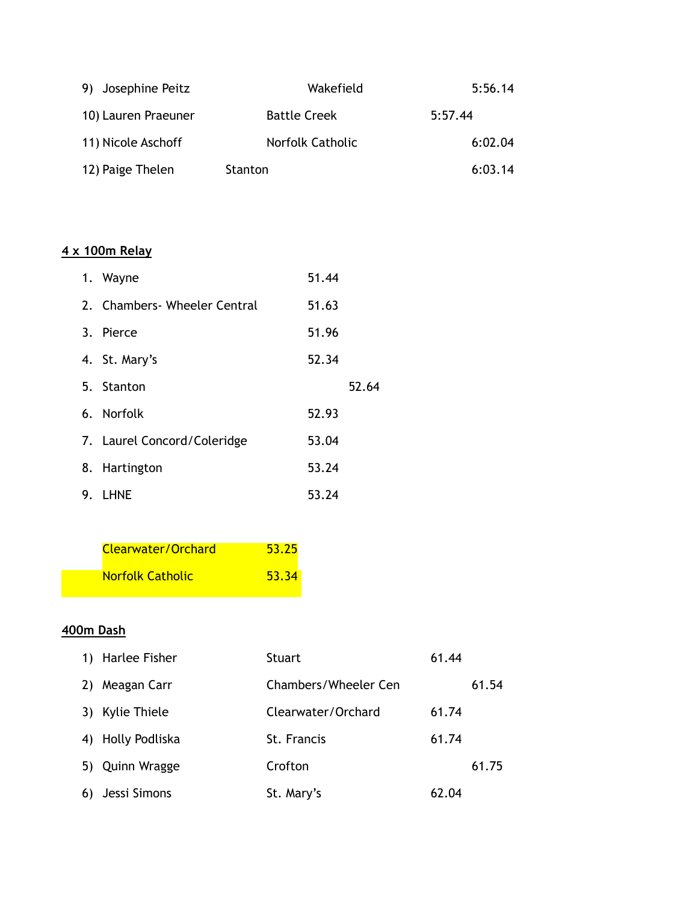| 9) Josephine Peitz  | Wakefield           | 5:56.14 |
|---------------------|---------------------|---------|
| 10) Lauren Praeuner | <b>Battle Creek</b> | 5:57.44 |
| 11) Nicole Aschoff  | Norfolk Catholic    | 6:02.04 |
| 12) Paige Thelen    | Stanton             | 6:03.14 |

# **4 x 100m Relay**

| 1. Wayne                      | 51.44 |       |
|-------------------------------|-------|-------|
| 2. Chambers - Wheeler Central | 51.63 |       |
| 3. Pierce                     | 51.96 |       |
| 4. St. Mary's                 | 52.34 |       |
| 5. Stanton                    |       | 52.64 |
| 6. Norfolk                    | 52.93 |       |
| 7. Laurel Concord/Coleridge   | 53.04 |       |
| 8. Hartington                 | 53.24 |       |
| 9. LHNE                       | 53.24 |       |

| <b>Clearwater/Orchard</b> | 53.25 |
|---------------------------|-------|
| <b>Norfolk Catholic</b>   | 53.34 |

#### **400m Dash**

|    | 1) Harlee Fisher | <b>Stuart</b>        | 61.44 |       |
|----|------------------|----------------------|-------|-------|
| 2) | Meagan Carr      | Chambers/Wheeler Cen |       | 61.54 |
|    | 3) Kylie Thiele  | Clearwater/Orchard   | 61.74 |       |
| 4) | Holly Podliska   | St. Francis          | 61.74 |       |
|    | 5) Quinn Wragge  | Crofton              |       | 61.75 |
| 6) | Jessi Simons     | St. Mary's           | 62.04 |       |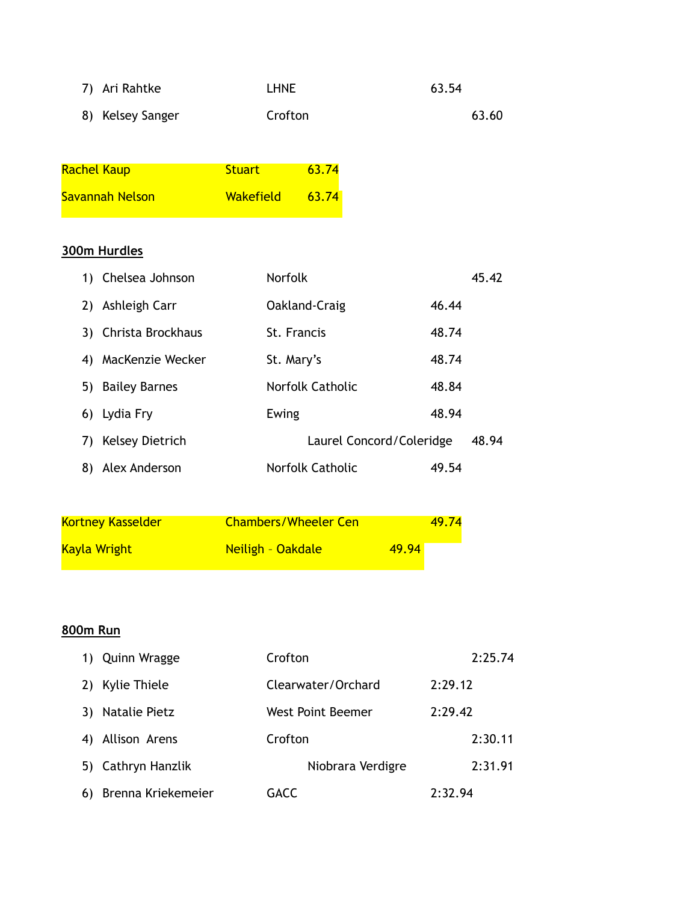| 7) Ari Rahtke    | <b>LHNE</b> | 63.54 |
|------------------|-------------|-------|
| 8) Kelsey Sanger | Crofton     | 63.60 |

| <b>Rachel Kaup</b> | <b>Stuart</b>    | 63.74 |
|--------------------|------------------|-------|
| Savannah Nelson    | <b>Wakefield</b> | 63.74 |

#### **300m Hurdles**

| 1) | Chelsea Johnson        | <b>Norfolk</b>           |       | 45.42 |
|----|------------------------|--------------------------|-------|-------|
| 2) | Ashleigh Carr          | Oakland-Craig            | 46.44 |       |
|    | 3) Christa Brockhaus   | St. Francis              | 48.74 |       |
| 4) | MacKenzie Wecker       | St. Mary's               | 48.74 |       |
| 5) | <b>Bailey Barnes</b>   | <b>Norfolk Catholic</b>  | 48.84 |       |
|    | 6) Lydia Fry           | Ewing                    | 48.94 |       |
| 7) | <b>Kelsey Dietrich</b> | Laurel Concord/Coleridge |       | 48.94 |
| 8) | Alex Anderson          | Norfolk Catholic         | 49.54 |       |

| <b>Kortney Kasselder</b> | <b>Chambers/Wheeler Cen</b> | 49.74 |
|--------------------------|-----------------------------|-------|
| <b>Kayla Wright</b>      | Neiligh - Oakdale           | 49.94 |

# **800m Run**

| 1) | <b>Quinn Wragge</b> | Crofton            | 2:25.74 |
|----|---------------------|--------------------|---------|
|    | Kylie Thiele        | Clearwater/Orchard | 2:29.12 |
| 3) | Natalie Pietz       | West Point Beemer  | 2:29.42 |
|    | Allison Arens       | Crofton            | 2:30.11 |
| 5) | Cathryn Hanzlik     | Niobrara Verdigre  | 2:31.91 |
| 6) | Brenna Kriekemeier  | GACC               | 2:32.94 |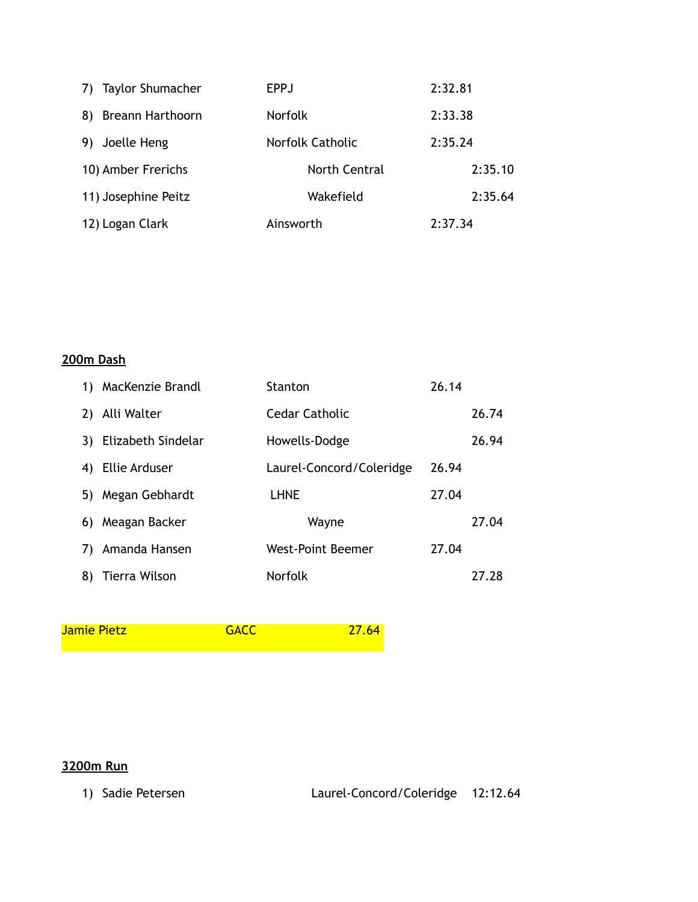| 7) Taylor Shumacher           | <b>EPPJ</b>      | 2:32.81 |
|-------------------------------|------------------|---------|
| 8)<br><b>Breann Harthoorn</b> | <b>Norfolk</b>   | 2:33.38 |
| Joelle Heng<br>9)             | Norfolk Catholic | 2:35.24 |
| 10) Amber Frerichs            | North Central    | 2:35.10 |
| 11) Josephine Peitz           | Wakefield        | 2:35.64 |
| 12) Logan Clark               | Ainsworth        | 2:37.34 |

#### **200m Dash**

| 1) | MacKenzie Brandl     | <b>Stanton</b>           | 26.14 |       |
|----|----------------------|--------------------------|-------|-------|
| 2) | Alli Walter          | <b>Cedar Catholic</b>    |       | 26.74 |
| 3) | Elizabeth Sindelar   | Howells-Dodge            |       | 26.94 |
| 4) | <b>Ellie Arduser</b> | Laurel-Concord/Coleridge | 26.94 |       |
| 5) | Megan Gebhardt       | <b>LHNE</b>              | 27.04 |       |
| 6) | Meagan Backer        | Wayne                    |       | 27.04 |
| 7) | Amanda Hansen        | West-Point Beemer        | 27.04 |       |
| 8) | Tierra Wilson        | Norfolk                  |       | 27.28 |

Jamie Pietz **GACC** 27.64

### **3200m Run**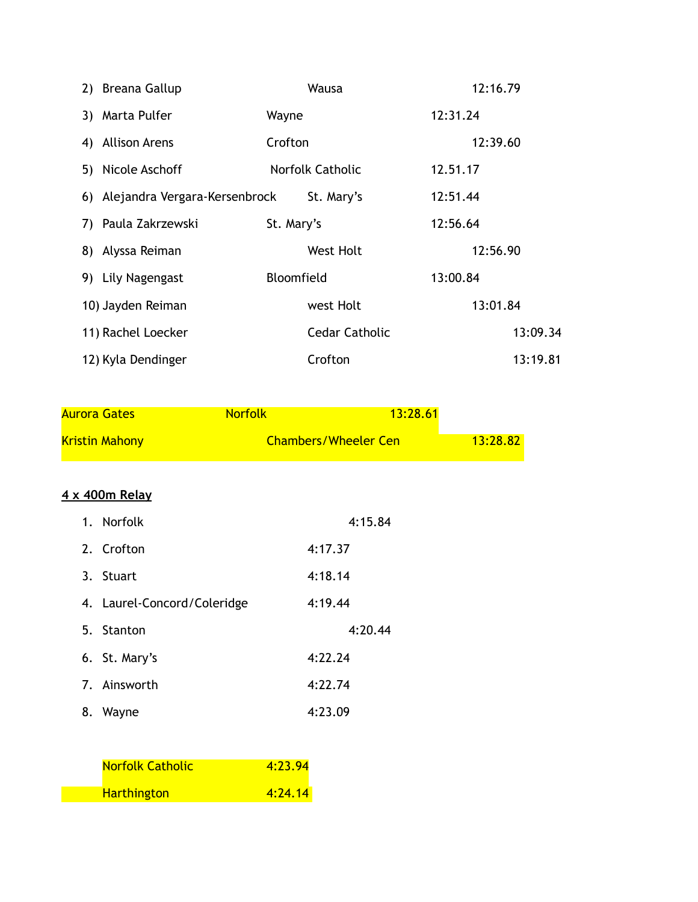| 2) Breana Gallup                 |            | Wausa                 |          | 12:16.79 |
|----------------------------------|------------|-----------------------|----------|----------|
| 3) Marta Pulfer                  | Wayne      |                       | 12:31.24 |          |
| 4) Allison Arens                 | Crofton    |                       |          | 12:39.60 |
| 5) Nicole Aschoff                |            | Norfolk Catholic      | 12.51.17 |          |
| 6) Alejandra Vergara-Kersenbrock |            | St. Mary's            | 12:51.44 |          |
| 7) Paula Zakrzewski              | St. Mary's |                       | 12:56.64 |          |
| 8) Alyssa Reiman                 |            | West Holt             |          | 12:56.90 |
| 9) Lily Nagengast                | Bloomfield |                       | 13:00.84 |          |
| 10) Jayden Reiman                |            | west Holt             |          | 13:01.84 |
| 11) Rachel Loecker               |            | <b>Cedar Catholic</b> |          | 13:09.34 |
| 12) Kyla Dendinger               |            | Crofton               |          | 13:19.81 |

| <b>Aurora Gates</b>   | <b>Norfolk</b> | 13:28.61                    |          |
|-----------------------|----------------|-----------------------------|----------|
| <b>Kristin Mahony</b> |                | <b>Chambers/Wheeler Cen</b> | 13:28.82 |

#### **4 x 400m Relay**

| 1. Norfolk                  | 4:15.84 |
|-----------------------------|---------|
| 2. Crofton                  | 4:17.37 |
| 3. Stuart                   | 4:18.14 |
| 4. Laurel-Concord/Coleridge | 4:19.44 |
|                             |         |
| 5. Stanton                  | 4:20.44 |
| 6. St. Mary's               | 4:22.24 |
| 7. Ainsworth                | 4:22.74 |

| <b>Norfolk Catholic</b> | 4:23.94 |
|-------------------------|---------|
| <b>Harthington</b>      | 4:24.14 |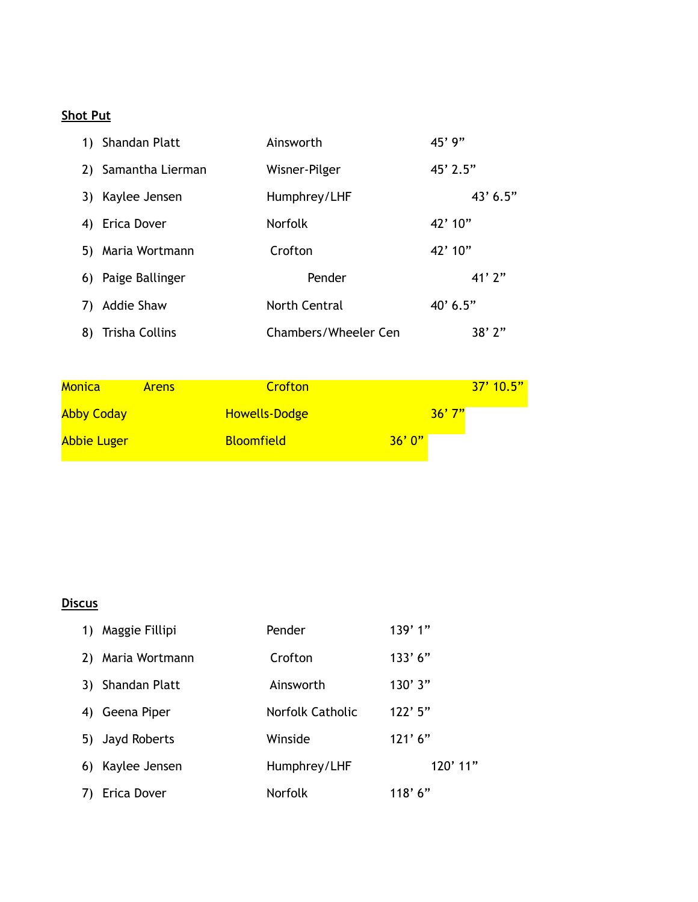#### **Shot Put**

|    | 1) Shandan Platt      | Ainsworth            | $45'$ 9"   |
|----|-----------------------|----------------------|------------|
|    | 2) Samantha Lierman   | Wisner-Pilger        | $45'$ 2.5" |
| 3) | Kaylee Jensen         | Humphrey/LHF         | $43'$ 6.5" |
| 4) | Erica Dover           | <b>Norfolk</b>       | 42'10''    |
| 5) | Maria Wortmann        | Crofton              | 42'10''    |
| 6) | Paige Ballinger       | Pender               | 41'2''     |
| 7) | Addie Shaw            | <b>North Central</b> | 40' 6.5"   |
| 8) | <b>Trisha Collins</b> | Chambers/Wheeler Cen | 38'2"      |

| <b>Monica</b>      | <b>Arens</b> | Crofton              | $37'$ 10.5" |
|--------------------|--------------|----------------------|-------------|
| <b>Abby Coday</b>  |              | <b>Howells-Dodge</b> | 36'7''      |
| <b>Abbie Luger</b> |              | <b>Bloomfield</b>    | 36'0''      |

# **Discus**

| 1) | Maggie Fillipi  | Pender           | 139'1"     |
|----|-----------------|------------------|------------|
| 2) | Maria Wortmann  | Crofton          | 133'6''    |
| 3) | Shandan Platt   | Ainsworth        | 130'3"     |
| 4) | Geena Piper     | Norfolk Catholic | $122'$ 5"  |
|    | 5) Jayd Roberts | Winside          | 121'6''    |
| 6) | Kaylee Jensen   | Humphrey/LHF     | $120'$ 11" |
|    | Erica Dover     | <b>Norfolk</b>   | 118' 6''   |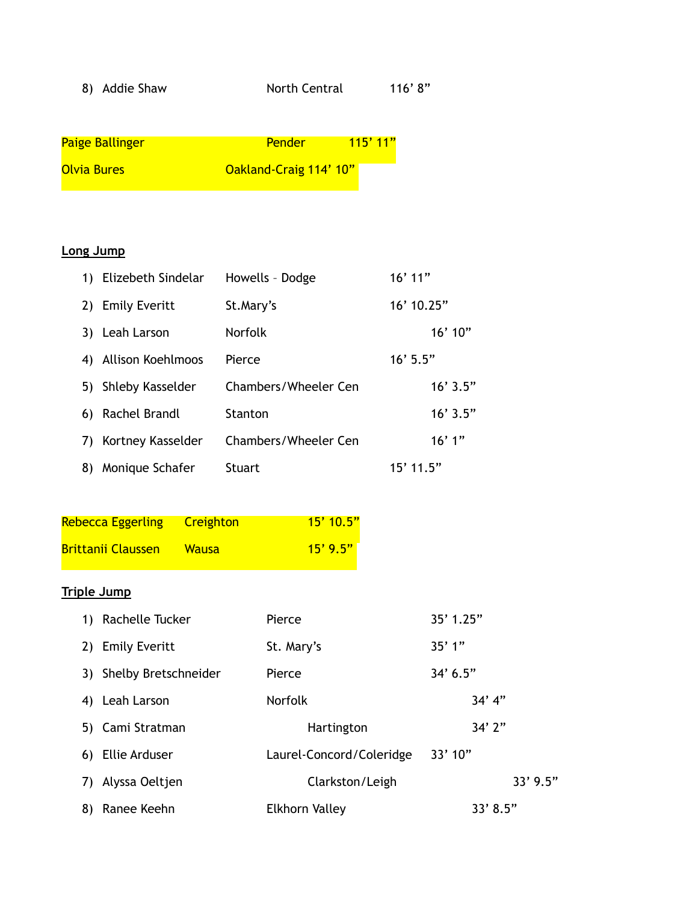| 8) |  | <b>Addie Shaw</b> |
|----|--|-------------------|
|----|--|-------------------|

North Central 116' 8"

| <b>Paige Ballinger</b> | Pender                 | 115'11'' |
|------------------------|------------------------|----------|
| <b>Olvia Bures</b>     | Oakland-Craig 114' 10" |          |

#### **Long Jump**

|    | 1) Elizebeth Sindelar | Howells - Dodge      | $16'$ 11"    |
|----|-----------------------|----------------------|--------------|
|    | 2) Emily Everitt      | St.Mary's            | $16'$ 10.25" |
|    | 3) Leah Larson        | <b>Norfolk</b>       | $16'$ 10"    |
|    | 4) Allison Koehlmoos  | Pierce               | $16'$ 5.5"   |
|    | 5) Shleby Kasselder   | Chambers/Wheeler Cen | $16'$ 3.5"   |
|    | 6) Rachel Brandl      | <b>Stanton</b>       | $16'$ 3.5"   |
|    | 7) Kortney Kasselder  | Chambers/Wheeler Cen | 16'1"        |
| 8) | Monique Schafer       | Stuart               | $15'$ 11.5"  |

| <b>Rebecca Eggerling</b>  | <b>Creighton</b> | $15'$ 10.5" |
|---------------------------|------------------|-------------|
| <b>Brittanii Claussen</b> | <b>Wausa</b>     | $15'$ 9.5"  |

# **Triple Jump**

|    | 1) Rachelle Tucker      | Pierce                   | 35' 1.25"  |
|----|-------------------------|--------------------------|------------|
|    | 2) Emily Everitt        | St. Mary's               | 35'1"      |
|    | 3) Shelby Bretschneider | Pierce                   | 34' 6.5''  |
|    | 4) Leah Larson          | <b>Norfolk</b>           | 34' 4''    |
|    | 5) Cami Stratman        | Hartington               | 34'2''     |
|    | 6) Ellie Arduser        | Laurel-Concord/Coleridge | 33'10''    |
| 7) | Alyssa Oeltjen          | Clarkston/Leigh          | $33'$ 9.5" |
| 8) | Ranee Keehn             | Elkhorn Valley           | 33' 8.5''  |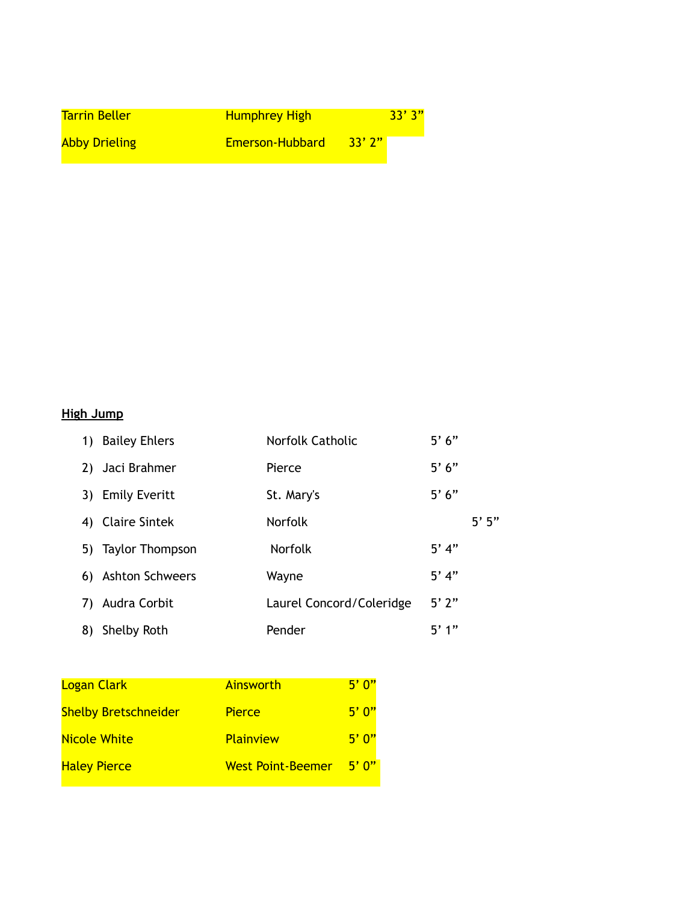| <b>Tarrin Beller</b> | <b>Humphrey High</b> | 33'3''          |
|----------------------|----------------------|-----------------|
| <b>Abby Drieling</b> | Emerson-Hubbard      | $\sqrt{33'2''}$ |

#### **High Jump**

| 1) | <b>Bailey Ehlers</b> | <b>Norfolk Catholic</b>  | 5'6"    |         |
|----|----------------------|--------------------------|---------|---------|
|    | 2) Jaci Brahmer      | Pierce                   | 5'6"    |         |
| 3) | <b>Emily Everitt</b> | St. Mary's               | 5'6"    |         |
|    | 4) Claire Sintek     | <b>Norfolk</b>           |         | $5'$ 5" |
|    | 5) Taylor Thompson   | <b>Norfolk</b>           | $5'$ 4" |         |
|    | 6) Ashton Schweers   | Wayne                    | $5'$ 4" |         |
| 7) | Audra Corbit         | Laurel Concord/Coleridge | 5'2"    |         |
| 8) | Shelby Roth          | Pender                   | 5'1''   |         |

| <b>Logan Clark</b>          | Ainsworth                | 5'0''         |
|-----------------------------|--------------------------|---------------|
| <b>Shelby Bretschneider</b> | <b>Pierce</b>            | 5'0''         |
| <b>Nicole White</b>         | <b>Plainview</b>         | 5'0''         |
| <b>Haley Pierce</b>         | <b>West Point-Beemer</b> | <u>יים יה</u> |